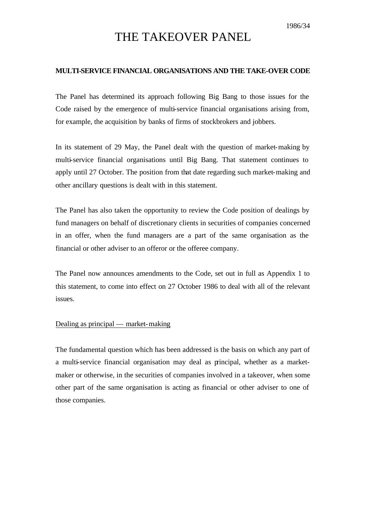# THE TAKEOVER PANEL

### **MULTI-SERVICE FINANCIAL ORGANISATIONS AND THE TAKE-OVER CODE**

The Panel has determined its approach following Big Bang to those issues for the Code raised by the emergence of multi-service financial organisations arising from, for example, the acquisition by banks of firms of stockbrokers and jobbers.

In its statement of 29 May, the Panel dealt with the question of market-making by multi-service financial organisations until Big Bang. That statement continues to apply until 27 October. The position from that date regarding such market-making and other ancillary questions is dealt with in this statement.

The Panel has also taken the opportunity to review the Code position of dealings by fund managers on behalf of discretionary clients in securities of companies concerned in an offer, when the fund managers are a part of the same organisation as the financial or other adviser to an offeror or the offeree company.

The Panel now announces amendments to the Code, set out in full as Appendix 1 to this statement, to come into effect on 27 October 1986 to deal with all of the relevant issues.

### Dealing as principal — market-making

The fundamental question which has been addressed is the basis on which any part of a multi-service financial organisation may deal as principal, whether as a marketmaker or otherwise, in the securities of companies involved in a takeover, when some other part of the same organisation is acting as financial or other adviser to one of those companies.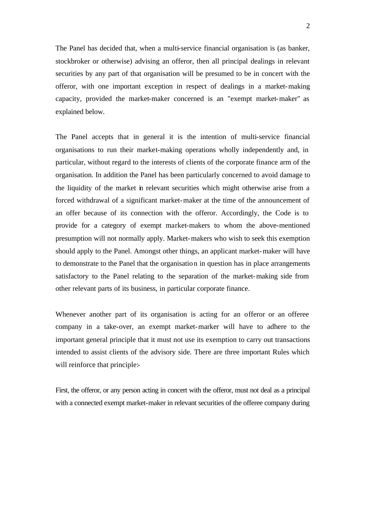The Panel has decided that, when a multi-service financial organisation is (as banker, stockbroker or otherwise) advising an offeror, then all principal dealings in relevant securities by any part of that organisation will be presumed to be in concert with the offeror, with one important exception in respect of dealings in a market-making capacity, provided the market-maker concerned is an "exempt market-maker" as explained below.

The Panel accepts that in general it is the intention of multi-service financial organisations to run their market-making operations wholly independently and, in particular, without regard to the interests of clients of the corporate finance arm of the organisation. In addition the Panel has been particularly concerned to avoid damage to the liquidity of the market in relevant securities which might otherwise arise from a forced withdrawal of a significant market-maker at the time of the announcement of an offer because of its connection with the offeror. Accordingly, the Code is to provide for a category of exempt market-makers to whom the above-mentioned presumption will not normally apply. Market-makers who wish to seek this exemption should apply to the Panel. Amongst other things, an applicant market-maker will have to demonstrate to the Panel that the organisation in question has in place arrangements satisfactory to the Panel relating to the separation of the market-making side from other relevant parts of its business, in particular corporate finance.

Whenever another part of its organisation is acting for an offeror or an offeree company in a take-over, an exempt market-marker will have to adhere to the important general principle that it must not use its exemption to carry out transactions intended to assist clients of the advisory side. There are three important Rules which will reinforce that principle:-

First, the offeror, or any person acting in concert with the offeror, must not deal as a principal with a connected exempt market-maker in relevant securities of the offeree company during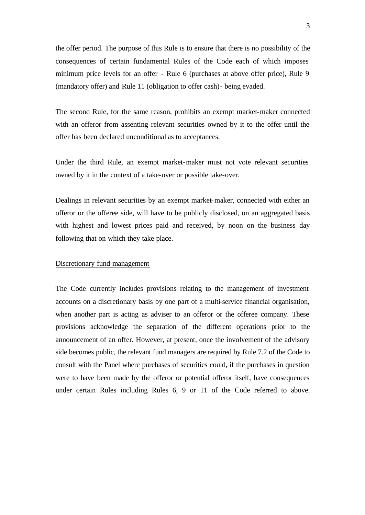the offer period. The purpose of this Rule is to ensure that there is no possibility of the consequences of certain fundamental Rules of the Code each of which imposes minimum price levels for an offer - Rule 6 (purchases at above offer price), Rule 9 (mandatory offer) and Rule 11 (obligation to offer cash)- being evaded.

The second Rule, for the same reason, prohibits an exempt market-maker connected with an offeror from assenting relevant securities owned by it to the offer until the offer has been declared unconditional as to acceptances.

Under the third Rule, an exempt market-maker must not vote relevant securities owned by it in the context of a take-over or possible take-over.

Dealings in relevant securities by an exempt market-maker, connected with either an offeror or the offeree side, will have to be publicly disclosed, on an aggregated basis with highest and lowest prices paid and received, by noon on the business day following that on which they take place.

## Discretionary fund management

The Code currently includes provisions relating to the management of investment accounts on a discretionary basis by one part of a multi-service financial organisation, when another part is acting as adviser to an offeror or the offeree company. These provisions acknowledge the separation of the different operations prior to the announcement of an offer. However, at present, once the involvement of the advisory side becomes public, the relevant fund managers are required by Rule 7.2 of the Code to consult with the Panel where purchases of securities could, if the purchases in question were to have been made by the offeror or potential offeror itself, have consequences under certain Rules including Rules 6, 9 or 11 of the Code referred to above.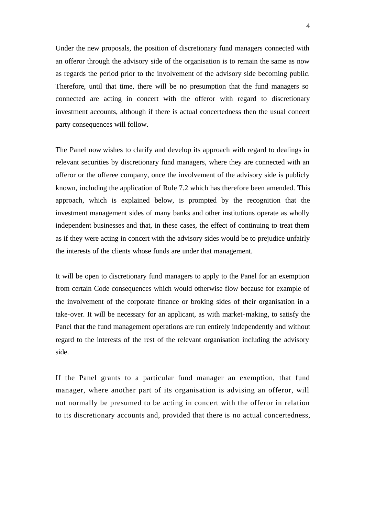Under the new proposals, the position of discretionary fund managers connected with an offeror through the advisory side of the organisation is to remain the same as now as regards the period prior to the involvement of the advisory side becoming public. Therefore, until that time, there will be no presumption that the fund managers so connected are acting in concert with the offeror with regard to discretionary investment accounts, although if there is actual concertedness then the usual concert party consequences will follow.

The Panel now wishes to clarify and develop its approach with regard to dealings in relevant securities by discretionary fund managers, where they are connected with an offeror or the offeree company, once the involvement of the advisory side is publicly known, including the application of Rule 7.2 which has therefore been amended. This approach, which is explained below, is prompted by the recognition that the investment management sides of many banks and other institutions operate as wholly independent businesses and that, in these cases, the effect of continuing to treat them as if they were acting in concert with the advisory sides would be to prejudice unfairly the interests of the clients whose funds are under that management.

It will be open to discretionary fund managers to apply to the Panel for an exemption from certain Code consequences which would otherwise flow because for example of the involvement of the corporate finance or broking sides of their organisation in a take-over. It will be necessary for an applicant, as with market-making, to satisfy the Panel that the fund management operations are run entirely independently and without regard to the interests of the rest of the relevant organisation including the advisory side.

If the Panel grants to a particular fund manager an exemption, that fund manager, where another part of its organisation is advising an offeror, will not normally be presumed to be acting in concert with the offeror in relation to its discretionary accounts and, provided that there is no actual concertedness,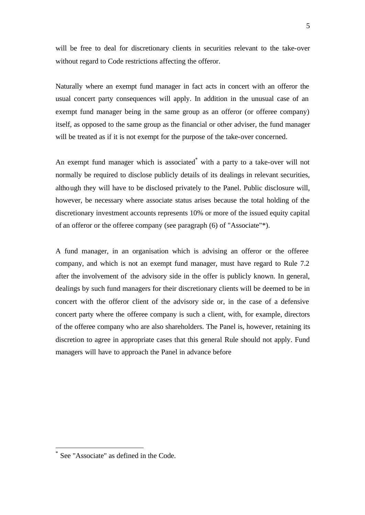will be free to deal for discretionary clients in securities relevant to the take-over without regard to Code restrictions affecting the offeror.

Naturally where an exempt fund manager in fact acts in concert with an offeror the usual concert party consequences will apply. In addition in the unusual case of an exempt fund manager being in the same group as an offeror (or offeree company) itself, as opposed to the same group as the financial or other adviser, the fund manager will be treated as if it is not exempt for the purpose of the take-over concerned.

An exempt fund manager which is associated<sup>\*</sup> with a party to a take-over will not normally be required to disclose publicly details of its dealings in relevant securities, although they will have to be disclosed privately to the Panel. Public disclosure will, however, be necessary where associate status arises because the total holding of the discretionary investment accounts represents 10% or more of the issued equity capital of an offeror or the offeree company (see paragraph (6) of "Associate"\*).

A fund manager, in an organisation which is advising an offeror or the offeree company, and which is not an exempt fund manager, must have regard to Rule 7.2 after the involvement of the advisory side in the offer is publicly known. In general, dealings by such fund managers for their discretionary clients will be deemed to be in concert with the offeror client of the advisory side or, in the case of a defensive concert party where the offeree company is such a client, with, for example, directors of the offeree company who are also shareholders. The Panel is, however, retaining its discretion to agree in appropriate cases that this general Rule should not apply. Fund managers will have to approach the Panel in advance before

l

<sup>\*</sup> See "Associate" as defined in the Code.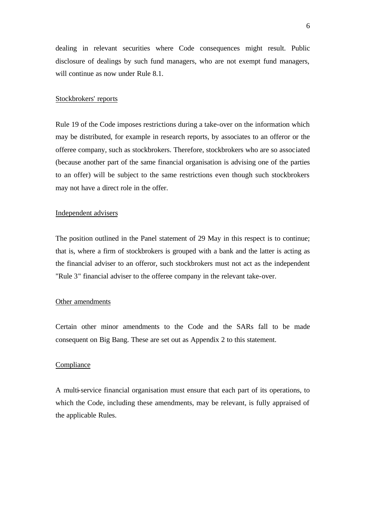dealing in relevant securities where Code consequences might result. Public disclosure of dealings by such fund managers, who are not exempt fund managers, will continue as now under Rule 8.1.

## Stockbrokers' reports

Rule 19 of the Code imposes restrictions during a take-over on the information which may be distributed, for example in research reports, by associates to an offeror or the offeree company, such as stockbrokers. Therefore, stockbrokers who are so associated (because another part of the same financial organisation is advising one of the parties to an offer) will be subject to the same restrictions even though such stockbrokers may not have a direct role in the offer.

#### Independent advisers

The position outlined in the Panel statement of 29 May in this respect is to continue; that is, where a firm of stockbrokers is grouped with a bank and the latter is acting as the financial adviser to an offeror, such stockbrokers must not act as the independent "Rule 3" financial adviser to the offeree company in the relevant take-over.

#### Other amendments

Certain other minor amendments to the Code and the SARs fall to be made consequent on Big Bang. These are set out as Appendix 2 to this statement.

#### Compliance

A multi-service financial organisation must ensure that each part of its operations, to which the Code, including these amendments, may be relevant, is fully appraised of the applicable Rules.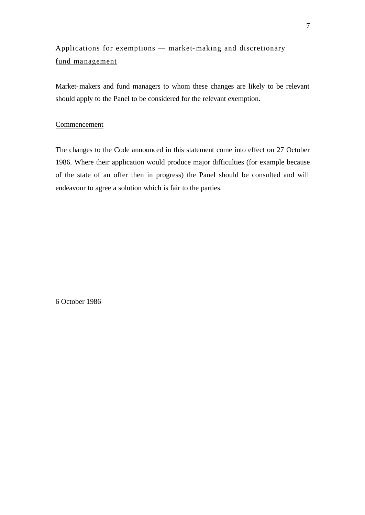## Applications for exemptions — market- making and discretionary fund ma nagement

Market-makers and fund managers to whom these changes are likely to be relevant should apply to the Panel to be considered for the relevant exemption.

## Commencement

The changes to the Code announced in this statement come into effect on 27 October 1986. Where their application would produce major difficulties (for example because of the state of an offer then in progress) the Panel should be consulted and will endeavour to agree a solution which is fair to the parties.

6 October 1986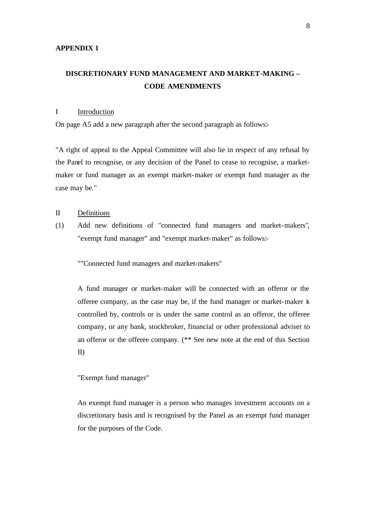## **DISCRETIONARY FUND MANAGEMENT AND MARKET-MAKING – CODE AMENDMENTS**

## I Introduction

On page A5 add a new paragraph after the second paragraph as follows:-

"A right of appeal to the Appeal Committee will also lie in respect of any refusal by the Panel to recognise, or any decision of the Panel to cease to recognise, a marketmaker or fund manager as an exempt market-maker or exempt fund manager as the case may be."

## II Definitions

(1) Add new definitions of "connected fund managers and market-makers", "exempt fund manager" and "exempt market-maker" as follows:-

""Connected fund managers and market-makers"

A fund manager or market-maker will be connected with an offeror or the offeree company, as the case may be, if the fund manager or market-maker is controlled by, controls or is under the same control as an offeror, the offeree company, or any bank, stockbroker, financial or other professional adviser to an offeror or the offeree company. (\*\* See new note at the end of this Section II)

#### "Exempt fund manager"

An exempt fund manager is a person who manages investment accounts on a discretionary basis and is recognised by the Panel as an exempt fund manager for the purposes of the Code.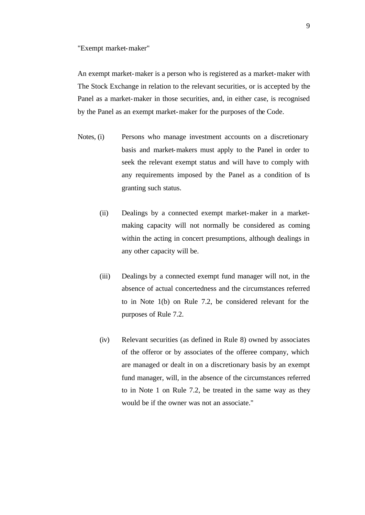"Exempt market-maker"

An exempt market-maker is a person who is registered as a market-maker with The Stock Exchange in relation to the relevant securities, or is accepted by the Panel as a market-maker in those securities, and, in either case, is recognised by the Panel as an exempt market-maker for the purposes of the Code.

- Notes, (i) Persons who manage investment accounts on a discretionary basis and market-makers must apply to the Panel in order to seek the relevant exempt status and will have to comply with any requirements imposed by the Panel as a condition of its granting such status.
	- (ii) Dealings by a connected exempt market-maker in a marketmaking capacity will not normally be considered as coming within the acting in concert presumptions, although dealings in any other capacity will be.
	- (iii) Dealings by a connected exempt fund manager will not, in the absence of actual concertedness and the circumstances referred to in Note 1(b) on Rule 7.2, be considered relevant for the purposes of Rule 7.2.
	- (iv) Relevant securities (as defined in Rule 8) owned by associates of the offeror or by associates of the offeree company, which are managed or dealt in on a discretionary basis by an exempt fund manager, will, in the absence of the circumstances referred to in Note 1 on Rule 7.2, be treated in the same way as they would be if the owner was not an associate."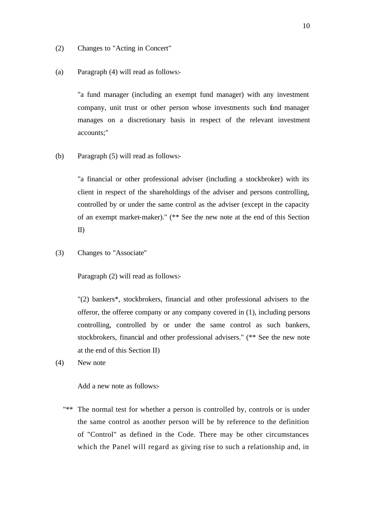- (2) Changes to "Acting in Concert"
- (a) Paragraph (4) will read as follows:-

"a fund manager (including an exempt fund manager) with any investment company, unit trust or other person whose investments such find manager manages on a discretionary basis in respect of the relevant investment accounts;"

(b) Paragraph (5) will read as follows:-

"a financial or other professional adviser (including a stockbroker) with its client in respect of the shareholdings of the adviser and persons controlling, controlled by or under the same control as the adviser (except in the capacity of an exempt market-maker)." (\*\* See the new note at the end of this Section II)

(3) Changes to "Associate"

Paragraph (2) will read as follows:-

"(2) bankers\*, stockbrokers, financial and other professional advisers to the offeror, the offeree company or any company covered in (1), including persons controlling, controlled by or under the same control as such bankers, stockbrokers, financial and other professional advisers." (\*\* See the new note at the end of this Section II)

(4) New note

Add a new note as follows:-

"\*\* The normal test for whether a person is controlled by, controls or is under the same control as another person will be by reference to the definition of "Control" as defined in the Code. There may be other circumstances which the Panel will regard as giving rise to such a relationship and, in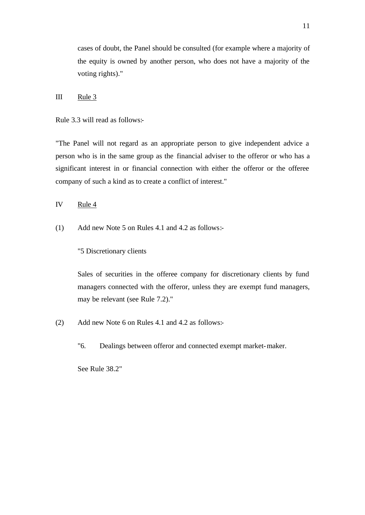cases of doubt, the Panel should be consulted (for example where a majority of the equity is owned by another person, who does not have a majority of the voting rights)."

## III Rule 3

Rule 3.3 will read as follows:-

"The Panel will not regard as an appropriate person to give independent advice a person who is in the same group as the financial adviser to the offeror or who has a significant interest in or financial connection with either the offeror or the offeree company of such a kind as to create a conflict of interest."

IV Rule 4

(1) Add new Note 5 on Rules 4.1 and 4.2 as follows:-

"5 Discretionary clients

Sales of securities in the offeree company for discretionary clients by fund managers connected with the offeror, unless they are exempt fund managers, may be relevant (see Rule 7.2)."

- (2) Add new Note 6 on Rules 4.1 and 4.2 as follows:-
	- "6. Dealings between offeror and connected exempt market-maker.

See Rule 38.2"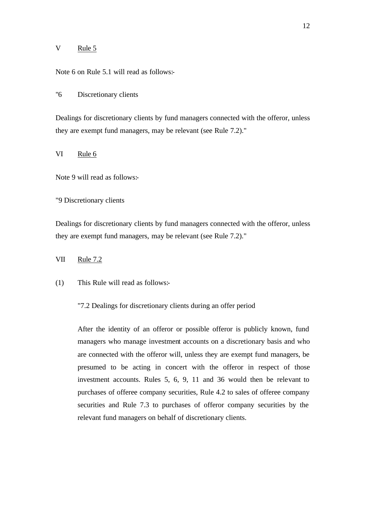#### V Rule 5

Note 6 on Rule 5.1 will read as follows:-

"6 Discretionary clients

Dealings for discretionary clients by fund managers connected with the offeror, unless they are exempt fund managers, may be relevant (see Rule 7.2)."

VI Rule 6

Note 9 will read as follows:-

"9 Discretionary clients

Dealings for discretionary clients by fund managers connected with the offeror, unless they are exempt fund managers, may be relevant (see Rule 7.2)."

## VII Rule 7.2

(1) This Rule will read as follows:-

"7.2 Dealings for discretionary clients during an offer period

After the identity of an offeror or possible offeror is publicly known, fund managers who manage investment accounts on a discretionary basis and who are connected with the offeror will, unless they are exempt fund managers, be presumed to be acting in concert with the offeror in respect of those investment accounts. Rules 5, 6, 9, 11 and 36 would then be relevant to purchases of offeree company securities, Rule 4.2 to sales of offeree company securities and Rule 7.3 to purchases of offeror company securities by the relevant fund managers on behalf of discretionary clients.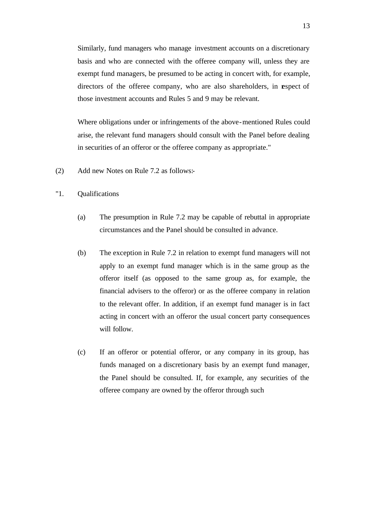Similarly, fund managers who manage investment accounts on a discretionary basis and who are connected with the offeree company will, unless they are exempt fund managers, be presumed to be acting in concert with, for example, directors of the offeree company, who are also shareholders, in espect of those investment accounts and Rules 5 and 9 may be relevant.

Where obligations under or infringements of the above-mentioned Rules could arise, the relevant fund managers should consult with the Panel before dealing in securities of an offeror or the offeree company as appropriate."

- (2) Add new Notes on Rule 7.2 as follows:-
- "1. Qualifications
	- (a) The presumption in Rule 7.2 may be capable of rebuttal in appropriate circumstances and the Panel should be consulted in advance.
	- (b) The exception in Rule 7.2 in relation to exempt fund managers will not apply to an exempt fund manager which is in the same group as the offeror itself (as opposed to the same group as, for example, the financial advisers to the offeror) or as the offeree company in relation to the relevant offer. In addition, if an exempt fund manager is in fact acting in concert with an offeror the usual concert party consequences will follow.
	- (c) If an offeror or potential offeror, or any company in its group, has funds managed on a discretionary basis by an exempt fund manager, the Panel should be consulted. If, for example, any securities of the offeree company are owned by the offeror through such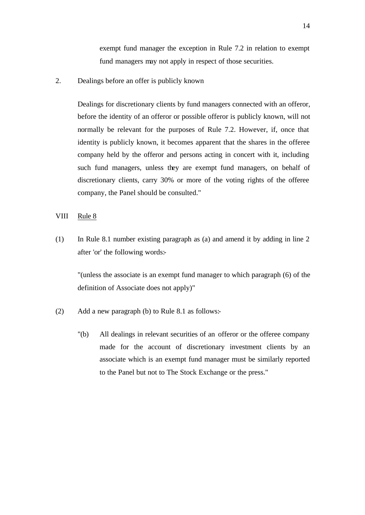exempt fund manager the exception in Rule 7.2 in relation to exempt fund managers may not apply in respect of those securities.

2. Dealings before an offer is publicly known

Dealings for discretionary clients by fund managers connected with an offeror, before the identity of an offeror or possible offeror is publicly known, will not normally be relevant for the purposes of Rule 7.2. However, if, once that identity is publicly known, it becomes apparent that the shares in the offeree company held by the offeror and persons acting in concert with it, including such fund managers, unless they are exempt fund managers, on behalf of discretionary clients, carry 30% or more of the voting rights of the offeree company, the Panel should be consulted."

#### VIII Rule 8

(1) In Rule 8.1 number existing paragraph as (a) and amend it by adding in line 2 after 'or' the following words:-

"(unless the associate is an exempt fund manager to which paragraph (6) of the definition of Associate does not apply)"

- (2) Add a new paragraph (b) to Rule 8.1 as follows:-
	- "(b) All dealings in relevant securities of an offeror or the offeree company made for the account of discretionary investment clients by an associate which is an exempt fund manager must be similarly reported to the Panel but not to The Stock Exchange or the press."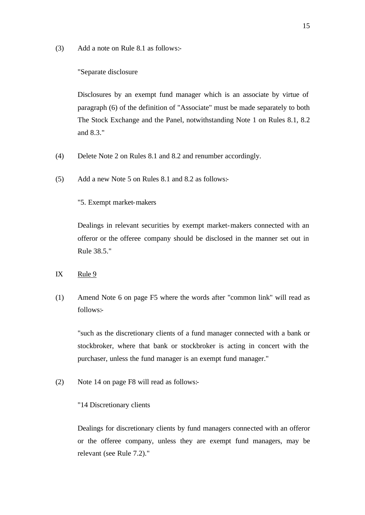(3) Add a note on Rule 8.1 as follows:-

#### "Separate disclosure

Disclosures by an exempt fund manager which is an associate by virtue of paragraph (6) of the definition of "Associate" must be made separately to both The Stock Exchange and the Panel, notwithstanding Note 1 on Rules 8.1, 8.2 and 8.3."

- (4) Delete Note 2 on Rules 8.1 and 8.2 and renumber accordingly.
- (5) Add a new Note 5 on Rules 8.1 and 8.2 as follows:-

#### "5. Exempt market-makers

Dealings in relevant securities by exempt market-makers connected with an offeror or the offeree company should be disclosed in the manner set out in Rule 38.5."

## IX Rule 9

(1) Amend Note 6 on page F5 where the words after "common link" will read as follows:-

"such as the discretionary clients of a fund manager connected with a bank or stockbroker, where that bank or stockbroker is acting in concert with the purchaser, unless the fund manager is an exempt fund manager."

(2) Note 14 on page F8 will read as follows:-

#### "14 Discretionary clients

Dealings for discretionary clients by fund managers connected with an offeror or the offeree company, unless they are exempt fund managers, may be relevant (see Rule 7.2)."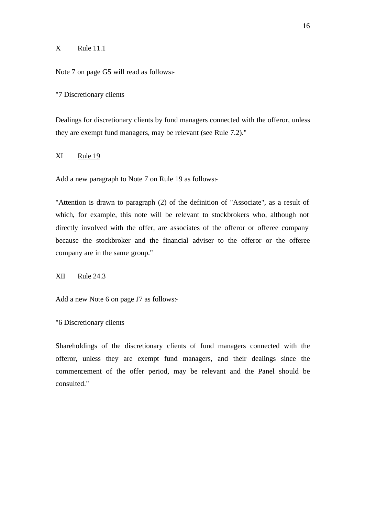## $X$  Rule 11.1

Note 7 on page G5 will read as follows:-

"7 Discretionary clients

Dealings for discretionary clients by fund managers connected with the offeror, unless they are exempt fund managers, may be relevant (see Rule 7.2)."

### XI Rule 19

Add a new paragraph to Note 7 on Rule 19 as follows:-

"Attention is drawn to paragraph (2) of the definition of "Associate", as a result of which, for example, this note will be relevant to stockbrokers who, although not directly involved with the offer, are associates of the offeror or offeree company because the stockbroker and the financial adviser to the offeror or the offeree company are in the same group."

#### XII Rule 24.3

Add a new Note 6 on page J7 as follows:-

"6 Discretionary clients

Shareholdings of the discretionary clients of fund managers connected with the offeror, unless they are exempt fund managers, and their dealings since the commencement of the offer period, may be relevant and the Panel should be consulted."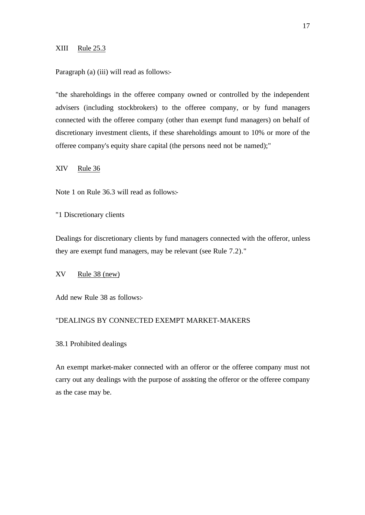#### XIII Rule 25.3

Paragraph (a) (iii) will read as follows:-

"the shareholdings in the offeree company owned or controlled by the independent advisers (including stockbrokers) to the offeree company, or by fund managers connected with the offeree company (other than exempt fund managers) on behalf of discretionary investment clients, if these shareholdings amount to 10% or more of the offeree company's equity share capital (the persons need not be named);"

XIV Rule 36

Note 1 on Rule 36.3 will read as follows:-

"1 Discretionary clients

Dealings for discretionary clients by fund managers connected with the offeror, unless they are exempt fund managers, may be relevant (see Rule 7.2)."

## XV Rule 38 (new)

Add new Rule 38 as follows:-

## "DEALINGS BY CONNECTED EXEMPT MARKET-MAKERS

38.1 Prohibited dealings

An exempt market-maker connected with an offeror or the offeree company must not carry out any dealings with the purpose of assisting the offeror or the offeree company as the case may be.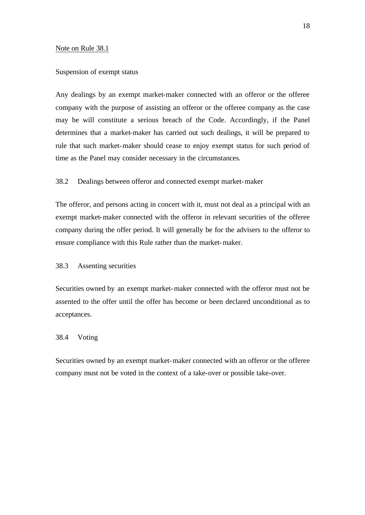#### Note on Rule 38.1

#### Suspension of exempt status

Any dealings by an exempt market-maker connected with an offeror or the offeree company with the purpose of assisting an offeror or the offeree company as the case may be will constitute a serious breach of the Code. Accordingly, if the Panel determines that a market-maker has carried out such dealings, it will be prepared to rule that such market-maker should cease to enjoy exempt status for such period of time as the Panel may consider necessary in the circumstances.

## 38.2 Dealings between offeror and connected exempt market-maker

The offeror, and persons acting in concert with it, must not deal as a principal with an exempt market-maker connected with the offeror in relevant securities of the offeree company during the offer period. It will generally be for the advisers to the offeror to ensure compliance with this Rule rather than the market-maker.

## 38.3 Assenting securities

Securities owned by an exempt market-maker connected with the offeror must not be assented to the offer until the offer has become or been declared unconditional as to acceptances.

#### 38.4 Voting

Securities owned by an exempt market-maker connected with an offeror or the offeree company must not be voted in the context of a take-over or possible take-over.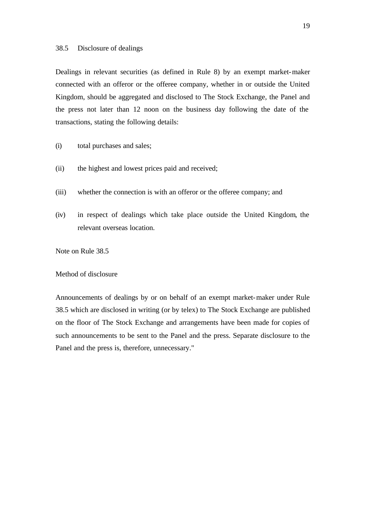## 38.5 Disclosure of dealings

Dealings in relevant securities (as defined in Rule 8) by an exempt market-maker connected with an offeror or the offeree company, whether in or outside the United Kingdom, should be aggregated and disclosed to The Stock Exchange, the Panel and the press not later than 12 noon on the business day following the date of the transactions, stating the following details:

- (i) total purchases and sales;
- (ii) the highest and lowest prices paid and received;
- (iii) whether the connection is with an offeror or the offeree company; and
- (iv) in respect of dealings which take place outside the United Kingdom, the relevant overseas location.

Note on Rule 38.5

## Method of disclosure

Announcements of dealings by or on behalf of an exempt market-maker under Rule 38.5 which are disclosed in writing (or by telex) to The Stock Exchange are published on the floor of The Stock Exchange and arrangements have been made for copies of such announcements to be sent to the Panel and the press. Separate disclosure to the Panel and the press is, therefore, unnecessary."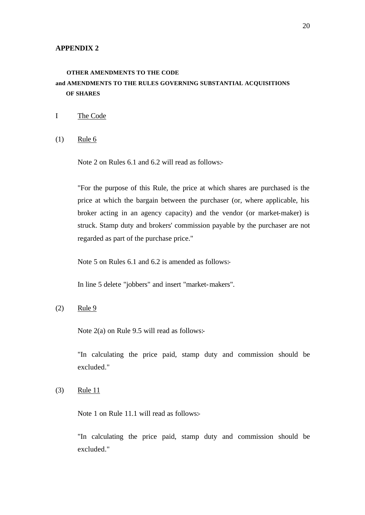#### **APPENDIX 2**

## **OTHER AMENDMENTS TO THE CODE and AMENDMENTS TO THE RULES GOVERNING SUBSTANTIAL ACQUISITIONS OF SHARES**

- I The Code
- $(1)$  Rule 6

Note 2 on Rules 6.1 and 6.2 will read as follows:-

"For the purpose of this Rule, the price at which shares are purchased is the price at which the bargain between the purchaser (or, where applicable, his broker acting in an agency capacity) and the vendor (or market-maker) is struck. Stamp duty and brokers' commission payable by the purchaser are not regarded as part of the purchase price."

Note 5 on Rules 6.1 and 6.2 is amended as follows:-

In line 5 delete "jobbers" and insert "market-makers".

(2) Rule 9

Note 2(a) on Rule 9.5 will read as follows:-

"In calculating the price paid, stamp duty and commission should be excluded."

(3) Rule 11

Note 1 on Rule 11.1 will read as follows:-

"In calculating the price paid, stamp duty and commission should be excluded."